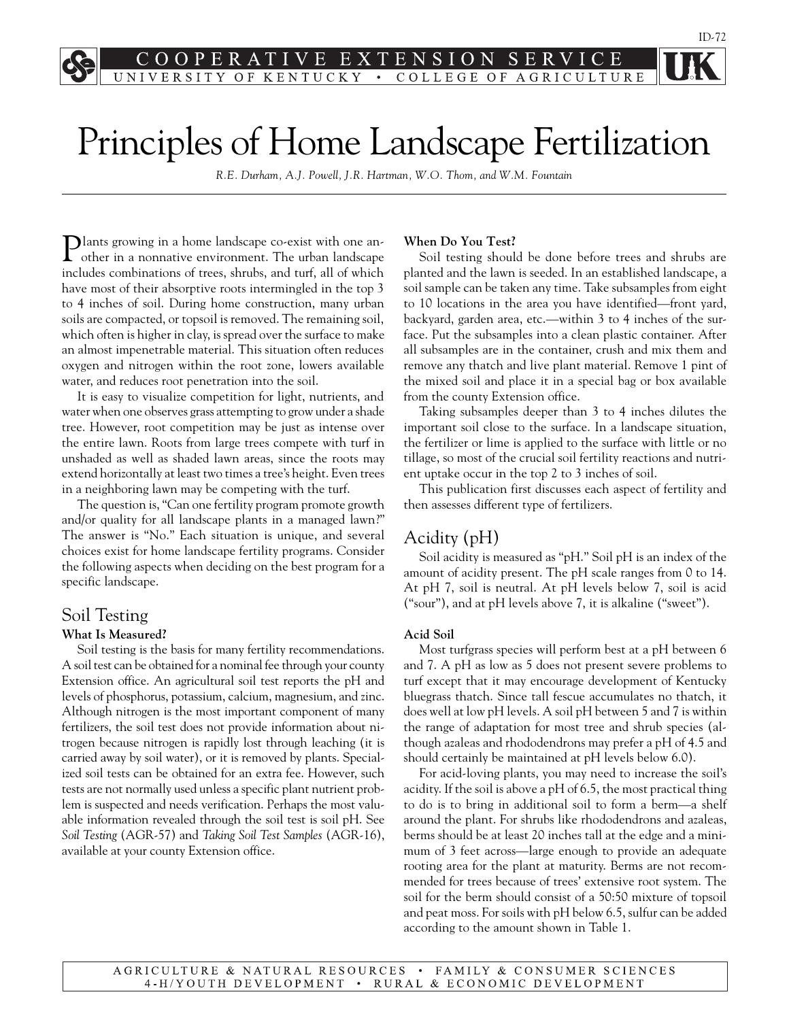$E$ S E ЕX  $T$ S  $\Omega$ R O F KENTUCKY  $\bullet$  . COLLEGE OF AGRICULTURE

# Principles of Home Landscape Fertilization

*R.E. Durham, A.J. Powell, J.R. Hartman, W.O. Thom, and W.M. Fountain*

**Plants growing in a home landscape co-exist with one an**other in a nonnative environment. The urban landscape includes combinations of trees, shrubs, and turf, all of which have most of their absorptive roots intermingled in the top 3 to 4 inches of soil. During home construction, many urban soils are compacted, or topsoil is removed. The remaining soil, which often is higher in clay, is spread over the surface to make an almost impenetrable material. This situation often reduces oxygen and nitrogen within the root zone, lowers available water, and reduces root penetration into the soil.

It is easy to visualize competition for light, nutrients, and water when one observes grass attempting to grow under a shade tree. However, root competition may be just as intense over the entire lawn. Roots from large trees compete with turf in unshaded as well as shaded lawn areas, since the roots may extend horizontally at least two times a tree's height. Even trees in a neighboring lawn may be competing with the turf.

The question is, "Can one fertility program promote growth and/or quality for all landscape plants in a managed lawn?" The answer is "No." Each situation is unique, and several choices exist for home landscape fertility programs. Consider the following aspects when deciding on the best program for a specific landscape.

# Soil Testing

#### **What Is Measured?**

Soil testing is the basis for many fertility recommendations. A soil test can be obtained for a nominal fee through your county Extension office. An agricultural soil test reports the pH and levels of phosphorus, potassium, calcium, magnesium, and zinc. Although nitrogen is the most important component of many fertilizers, the soil test does not provide information about nitrogen because nitrogen is rapidly lost through leaching (it is carried away by soil water), or it is removed by plants. Specialized soil tests can be obtained for an extra fee. However, such tests are not normally used unless a specific plant nutrient problem is suspected and needs verification. Perhaps the most valuable information revealed through the soil test is soil pH. See *Soil Testing* (AGR-57) and *Taking Soil Test Samples* (AGR-16), available at your county Extension office.

#### **When Do You Test?**

Soil testing should be done before trees and shrubs are planted and the lawn is seeded. In an established landscape, a soil sample can be taken any time. Take subsamples from eight to 10 locations in the area you have identified—front yard, backyard, garden area, etc.—within 3 to 4 inches of the surface. Put the subsamples into a clean plastic container. After all subsamples are in the container, crush and mix them and remove any thatch and live plant material. Remove 1 pint of the mixed soil and place it in a special bag or box available from the county Extension office.

Taking subsamples deeper than 3 to 4 inches dilutes the important soil close to the surface. In a landscape situation, the fertilizer or lime is applied to the surface with little or no tillage, so most of the crucial soil fertility reactions and nutrient uptake occur in the top 2 to 3 inches of soil.

This publication first discusses each aspect of fertility and then assesses different type of fertilizers.

# Acidity (pH)

Soil acidity is measured as "pH." Soil pH is an index of the amount of acidity present. The pH scale ranges from 0 to 14. At pH 7, soil is neutral. At pH levels below 7, soil is acid ("sour"), and at pH levels above 7, it is alkaline ("sweet").

#### **Acid Soil**

Most turfgrass species will perform best at a pH between 6 and 7. A pH as low as 5 does not present severe problems to turf except that it may encourage development of Kentucky bluegrass thatch. Since tall fescue accumulates no thatch, it does well at low pH levels. A soil pH between 5 and 7 is within the range of adaptation for most tree and shrub species (although azaleas and rhododendrons may prefer a pH of 4.5 and should certainly be maintained at pH levels below 6.0).

For acid-loving plants, you may need to increase the soil's acidity. If the soil is above a pH of 6.5, the most practical thing to do is to bring in additional soil to form a berm—a shelf around the plant. For shrubs like rhododendrons and azaleas, berms should be at least 20 inches tall at the edge and a minimum of 3 feet across—large enough to provide an adequate rooting area for the plant at maturity. Berms are not recommended for trees because of trees' extensive root system. The soil for the berm should consist of a 50:50 mixture of topsoil and peat moss. For soils with pH below 6.5, sulfur can be added according to the amount shown in Table 1.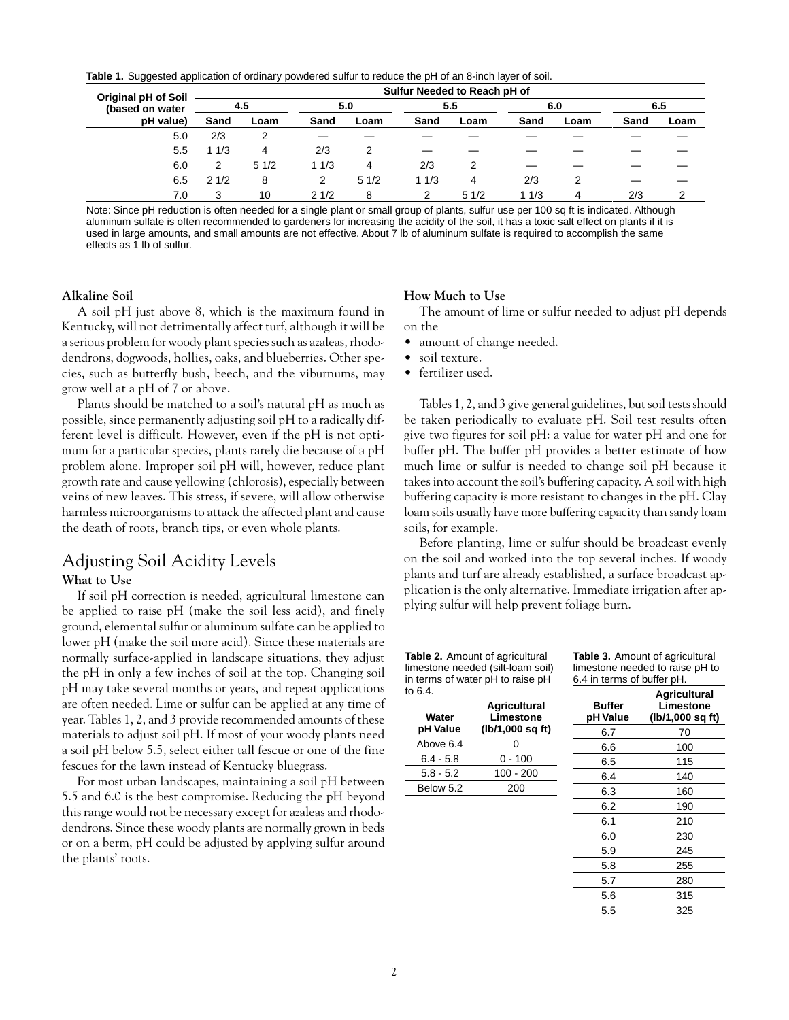**Table 1.** Suggested application of ordinary powdered sulfur to reduce the pH of an 8-inch layer of soil.

| <b>Original pH of Soil</b><br>(based on water | Sulfur Needed to Reach pH of |      |      |      |      |      |      |      |      |      |
|-----------------------------------------------|------------------------------|------|------|------|------|------|------|------|------|------|
|                                               | 4.5                          |      | 5.0  |      | 5.5  |      | 6.0  |      | 6.5  |      |
| pH value)                                     | Sand                         | Loam | Sand | Loam | Sand | Loam | Sand | Loam | Sand | Loam |
| 5.0                                           | 2/3                          |      |      |      |      |      |      |      |      |      |
| 5.5                                           | 11/3                         | 4    | 2/3  |      |      |      |      |      |      |      |
| 6.0                                           | 2                            | 51/2 | 11/3 | 4    | 2/3  |      |      |      |      |      |
| 6.5                                           | 21/2                         | 8    | 2    | 51/2 | 11/3 | 4    | 2/3  |      |      |      |
| 7.0                                           | 3                            | 10   | 21/2 | 8    | 2    | 51/2 | 11/3 | 4    | 2/3  | ⌒    |

Note: Since pH reduction is often needed for a single plant or small group of plants, sulfur use per 100 sq ft is indicated. Although aluminum sulfate is often recommended to gardeners for increasing the acidity of the soil, it has a toxic salt effect on plants if it is used in large amounts, and small amounts are not effective. About 7 lb of aluminum sulfate is required to accomplish the same effects as 1 lb of sulfur.

#### **Alkaline Soil**

A soil pH just above 8, which is the maximum found in Kentucky, will not detrimentally affect turf, although it will be a serious problem for woody plant species such as azaleas, rhododendrons, dogwoods, hollies, oaks, and blueberries. Other species, such as butterfly bush, beech, and the viburnums, may grow well at a pH of 7 or above.

Plants should be matched to a soil's natural pH as much as possible, since permanently adjusting soil pH to a radically different level is difficult. However, even if the pH is not optimum for a particular species, plants rarely die because of a pH problem alone. Improper soil pH will, however, reduce plant growth rate and cause yellowing (chlorosis), especially between veins of new leaves. This stress, if severe, will allow otherwise harmless microorganisms to attack the affected plant and cause the death of roots, branch tips, or even whole plants.

# Adjusting Soil Acidity Levels

#### **What to Use**

If soil pH correction is needed, agricultural limestone can be applied to raise pH (make the soil less acid), and finely ground, elemental sulfur or aluminum sulfate can be applied to lower pH (make the soil more acid). Since these materials are normally surface-applied in landscape situations, they adjust the pH in only a few inches of soil at the top. Changing soil pH may take several months or years, and repeat applications are often needed. Lime or sulfur can be applied at any time of year. Tables 1, 2, and 3 provide recommended amounts of these materials to adjust soil pH. If most of your woody plants need a soil pH below 5.5, select either tall fescue or one of the fine fescues for the lawn instead of Kentucky bluegrass.

For most urban landscapes, maintaining a soil pH between 5.5 and 6.0 is the best compromise. Reducing the pH beyond this range would not be necessary except for azaleas and rhododendrons. Since these woody plants are normally grown in beds or on a berm, pH could be adjusted by applying sulfur around the plants' roots.

#### **How Much to Use**

The amount of lime or sulfur needed to adjust pH depends on the

- amount of change needed.
- soil texture.
- fertilizer used.

Tables 1, 2, and 3 give general guidelines, but soil tests should be taken periodically to evaluate pH. Soil test results often give two figures for soil pH: a value for water pH and one for buffer pH. The buffer pH provides a better estimate of how much lime or sulfur is needed to change soil pH because it takes into account the soil's buffering capacity. A soil with high buffering capacity is more resistant to changes in the pH. Clay loam soils usually have more buffering capacity than sandy loam soils, for example.

Before planting, lime or sulfur should be broadcast evenly on the soil and worked into the top several inches. If woody plants and turf are already established, a surface broadcast application is the only alternative. Immediate irrigation after applying sulfur will help prevent foliage burn.

**Table 2.** Amount of agricultural limestone needed (silt-loam soil) in terms of water pH to raise pH to

**Table 3.** Amount of agricultural limestone needed to raise pH to 6.4 in terms of buffer pH.

> 5.8 255 5.7 280 5.6 315 5.5 325

| 6.4.        |                                  |                           | Agricultural                  |  |
|-------------|----------------------------------|---------------------------|-------------------------------|--|
| Water       | <b>Agricultural</b><br>Limestone | <b>Buffer</b><br>pH Value | Limestone<br>(lb/1,000 sq ft) |  |
| pH Value    | (lb/1,000 sq ft)                 | 6.7                       | 70                            |  |
| Above 6.4   | 0                                | 6.6                       | 100                           |  |
| $6.4 - 5.8$ | $0 - 100$                        | 6.5                       | 115                           |  |
| $5.8 - 5.2$ | 100 - 200                        | 6.4                       | 140                           |  |
| Below 5.2   | 200                              | 6.3                       | 160                           |  |
|             |                                  | 6.2                       | 190                           |  |
|             |                                  | 6.1                       | 210                           |  |
|             |                                  | 6.0                       | 230                           |  |
|             |                                  | 59                        | 245                           |  |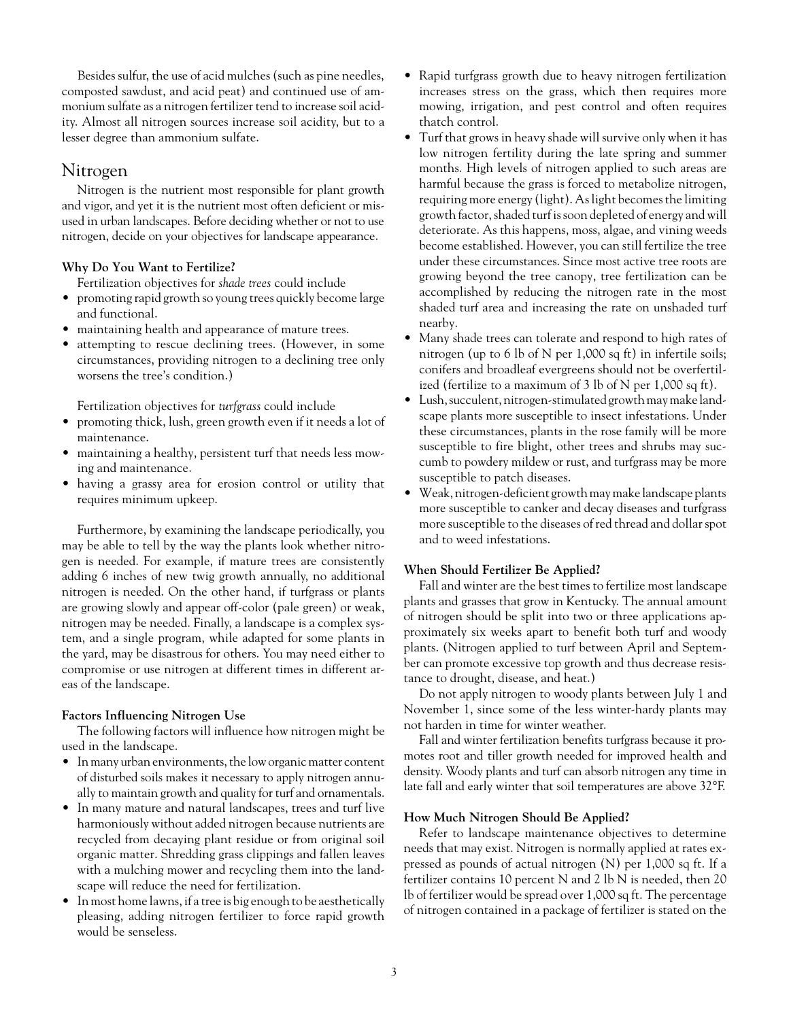Besides sulfur, the use of acid mulches (such as pine needles, composted sawdust, and acid peat) and continued use of ammonium sulfate as a nitrogen fertilizer tend to increase soil acidity. Almost all nitrogen sources increase soil acidity, but to a lesser degree than ammonium sulfate.

### Nitrogen

Nitrogen is the nutrient most responsible for plant growth and vigor, and yet it is the nutrient most often deficient or misused in urban landscapes. Before deciding whether or not to use nitrogen, decide on your objectives for landscape appearance.

#### **Why Do You Want to Fertilize?**

Fertilization objectives for *shade trees* could include

- promoting rapid growth so young trees quickly become large and functional.
- maintaining health and appearance of mature trees.
- attempting to rescue declining trees. (However, in some circumstances, providing nitrogen to a declining tree only worsens the tree's condition.)

Fertilization objectives for *turfgrass* could include

- promoting thick, lush, green growth even if it needs a lot of maintenance.
- maintaining a healthy, persistent turf that needs less mowing and maintenance.
- having a grassy area for erosion control or utility that requires minimum upkeep.

Furthermore, by examining the landscape periodically, you may be able to tell by the way the plants look whether nitrogen is needed. For example, if mature trees are consistently adding 6 inches of new twig growth annually, no additional nitrogen is needed. On the other hand, if turfgrass or plants are growing slowly and appear off-color (pale green) or weak, nitrogen may be needed. Finally, a landscape is a complex system, and a single program, while adapted for some plants in the yard, may be disastrous for others. You may need either to compromise or use nitrogen at different times in different areas of the landscape.

#### **Factors Influencing Nitrogen Use**

The following factors will influence how nitrogen might be used in the landscape.

- In many urban environments, the low organic matter content of disturbed soils makes it necessary to apply nitrogen annually to maintain growth and quality for turf and ornamentals.
- In many mature and natural landscapes, trees and turf live harmoniously without added nitrogen because nutrients are recycled from decaying plant residue or from original soil organic matter. Shredding grass clippings and fallen leaves with a mulching mower and recycling them into the landscape will reduce the need for fertilization.
- In most home lawns, if a tree is big enough to be aesthetically pleasing, adding nitrogen fertilizer to force rapid growth would be senseless.
- Rapid turfgrass growth due to heavy nitrogen fertilization increases stress on the grass, which then requires more mowing, irrigation, and pest control and often requires thatch control.
- Turf that grows in heavy shade will survive only when it has low nitrogen fertility during the late spring and summer months. High levels of nitrogen applied to such areas are harmful because the grass is forced to metabolize nitrogen, requiring more energy (light). As light becomes the limiting growth factor, shaded turf is soon depleted of energy and will deteriorate. As this happens, moss, algae, and vining weeds become established. However, you can still fertilize the tree under these circumstances. Since most active tree roots are growing beyond the tree canopy, tree fertilization can be accomplished by reducing the nitrogen rate in the most shaded turf area and increasing the rate on unshaded turf nearby.
- Many shade trees can tolerate and respond to high rates of nitrogen (up to 6 lb of N per 1,000 sq ft) in infertile soils; conifers and broadleaf evergreens should not be overfertilized (fertilize to a maximum of 3 lb of N per 1,000 sq ft).
- Lush, succulent, nitrogen-stimulated growth may make landscape plants more susceptible to insect infestations. Under these circumstances, plants in the rose family will be more susceptible to fire blight, other trees and shrubs may succumb to powdery mildew or rust, and turfgrass may be more susceptible to patch diseases.
- Weak, nitrogen-deficient growth may make landscape plants more susceptible to canker and decay diseases and turfgrass more susceptible to the diseases of red thread and dollar spot and to weed infestations.

#### **When Should Fertilizer Be Applied?**

Fall and winter are the best times to fertilize most landscape plants and grasses that grow in Kentucky. The annual amount of nitrogen should be split into two or three applications approximately six weeks apart to benefit both turf and woody plants. (Nitrogen applied to turf between April and September can promote excessive top growth and thus decrease resistance to drought, disease, and heat.)

Do not apply nitrogen to woody plants between July 1 and November 1, since some of the less winter-hardy plants may not harden in time for winter weather.

Fall and winter fertilization benefits turfgrass because it promotes root and tiller growth needed for improved health and density. Woody plants and turf can absorb nitrogen any time in late fall and early winter that soil temperatures are above 32°F.

#### **How Much Nitrogen Should Be Applied?**

Refer to landscape maintenance objectives to determine needs that may exist. Nitrogen is normally applied at rates expressed as pounds of actual nitrogen (N) per 1,000 sq ft. If a fertilizer contains 10 percent N and 2 lb N is needed, then 20 lb of fertilizer would be spread over 1,000 sq ft. The percentage of nitrogen contained in a package of fertilizer is stated on the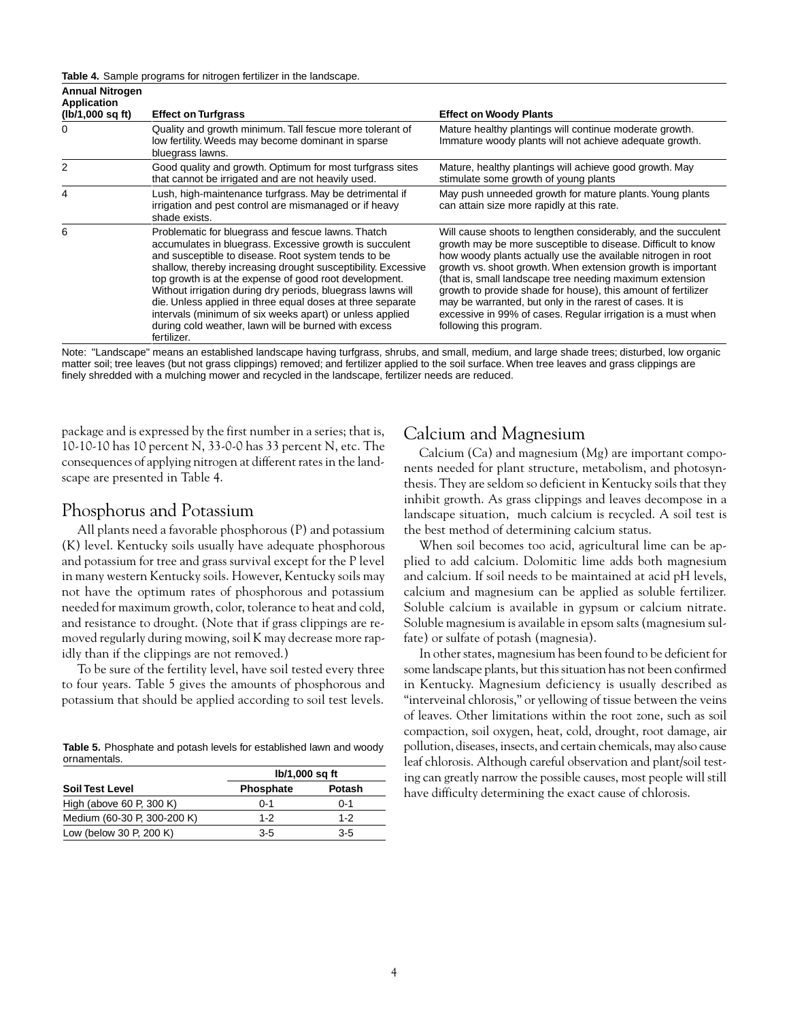**Table 4.** Sample programs for nitrogen fertilizer in the landscape.

| <b>Annual Nitrogen</b><br><b>Application</b><br>(lb/1,000 sq ft) | <b>Effect on Turfgrass</b>                                                                                                                                                                                                                                                                                                                                                                                                                                                                                                                                      | <b>Effect on Woody Plants</b>                                                                                                                                                                                                                                                                                                                                                                                                                                                                                                                    |
|------------------------------------------------------------------|-----------------------------------------------------------------------------------------------------------------------------------------------------------------------------------------------------------------------------------------------------------------------------------------------------------------------------------------------------------------------------------------------------------------------------------------------------------------------------------------------------------------------------------------------------------------|--------------------------------------------------------------------------------------------------------------------------------------------------------------------------------------------------------------------------------------------------------------------------------------------------------------------------------------------------------------------------------------------------------------------------------------------------------------------------------------------------------------------------------------------------|
| 0                                                                | Quality and growth minimum. Tall fescue more tolerant of<br>low fertility. Weeds may become dominant in sparse<br>bluegrass lawns.                                                                                                                                                                                                                                                                                                                                                                                                                              | Mature healthy plantings will continue moderate growth.<br>Immature woody plants will not achieve adequate growth.                                                                                                                                                                                                                                                                                                                                                                                                                               |
| 2                                                                | Good quality and growth. Optimum for most turfgrass sites<br>that cannot be irrigated and are not heavily used.                                                                                                                                                                                                                                                                                                                                                                                                                                                 | Mature, healthy plantings will achieve good growth. May<br>stimulate some growth of young plants                                                                                                                                                                                                                                                                                                                                                                                                                                                 |
| 4                                                                | Lush, high-maintenance turfgrass. May be detrimental if<br>irrigation and pest control are mismanaged or if heavy<br>shade exists.                                                                                                                                                                                                                                                                                                                                                                                                                              | May push unneeded growth for mature plants. Young plants<br>can attain size more rapidly at this rate.                                                                                                                                                                                                                                                                                                                                                                                                                                           |
| 6                                                                | Problematic for bluegrass and fescue lawns. Thatch<br>accumulates in bluegrass. Excessive growth is succulent<br>and susceptible to disease. Root system tends to be<br>shallow, thereby increasing drought susceptibility. Excessive<br>top growth is at the expense of good root development.<br>Without irrigation during dry periods, bluegrass lawns will<br>die. Unless applied in three equal doses at three separate<br>intervals (minimum of six weeks apart) or unless applied<br>during cold weather, lawn will be burned with excess<br>fertilizer. | Will cause shoots to lengthen considerably, and the succulent<br>growth may be more susceptible to disease. Difficult to know<br>how woody plants actually use the available nitrogen in root<br>growth vs. shoot growth. When extension growth is important<br>(that is, small landscape tree needing maximum extension<br>growth to provide shade for house), this amount of fertilizer<br>may be warranted, but only in the rarest of cases. It is<br>excessive in 99% of cases. Regular irrigation is a must when<br>following this program. |

Note: "Landscape" means an established landscape having turfgrass, shrubs, and small, medium, and large shade trees; disturbed, low organic matter soil; tree leaves (but not grass clippings) removed; and fertilizer applied to the soil surface. When tree leaves and grass clippings are finely shredded with a mulching mower and recycled in the landscape, fertilizer needs are reduced.

package and is expressed by the first number in a series; that is, 10-10-10 has 10 percent N, 33-0-0 has 33 percent N, etc. The consequences of applying nitrogen at different rates in the landscape are presented in Table 4.

#### Phosphorus and Potassium

All plants need a favorable phosphorous (P) and potassium (K) level. Kentucky soils usually have adequate phosphorous and potassium for tree and grass survival except for the P level in many western Kentucky soils. However, Kentucky soils may not have the optimum rates of phosphorous and potassium needed for maximum growth, color, tolerance to heat and cold, and resistance to drought. (Note that if grass clippings are removed regularly during mowing, soil K may decrease more rapidly than if the clippings are not removed.)

To be sure of the fertility level, have soil tested every three to four years. Table 5 gives the amounts of phosphorous and potassium that should be applied according to soil test levels.

**Table 5.** Phosphate and potash levels for established lawn and woody ornamentals.

|                             | lb/1,000 sq ft   |               |  |  |
|-----------------------------|------------------|---------------|--|--|
| <b>Soil Test Level</b>      | <b>Phosphate</b> | <b>Potash</b> |  |  |
| High (above 60 P, 300 K)    | $0 - 1$          | $0 - 1$       |  |  |
| Medium (60-30 P, 300-200 K) | $1 - 2$          | $1 - 2$       |  |  |
| Low (below 30 P, 200 K)     | 3-5              | $3-5$         |  |  |

## Calcium and Magnesium

Calcium (Ca) and magnesium (Mg) are important components needed for plant structure, metabolism, and photosynthesis. They are seldom so deficient in Kentucky soils that they inhibit growth. As grass clippings and leaves decompose in a landscape situation, much calcium is recycled. A soil test is the best method of determining calcium status.

When soil becomes too acid, agricultural lime can be applied to add calcium. Dolomitic lime adds both magnesium and calcium. If soil needs to be maintained at acid pH levels, calcium and magnesium can be applied as soluble fertilizer. Soluble calcium is available in gypsum or calcium nitrate. Soluble magnesium is available in epsom salts (magnesium sulfate) or sulfate of potash (magnesia).

In other states, magnesium has been found to be deficient for some landscape plants, but this situation has not been confirmed in Kentucky. Magnesium deficiency is usually described as "interveinal chlorosis," or yellowing of tissue between the veins of leaves. Other limitations within the root zone, such as soil compaction, soil oxygen, heat, cold, drought, root damage, air pollution, diseases, insects, and certain chemicals, may also cause leaf chlorosis. Although careful observation and plant/soil testing can greatly narrow the possible causes, most people will still have difficulty determining the exact cause of chlorosis.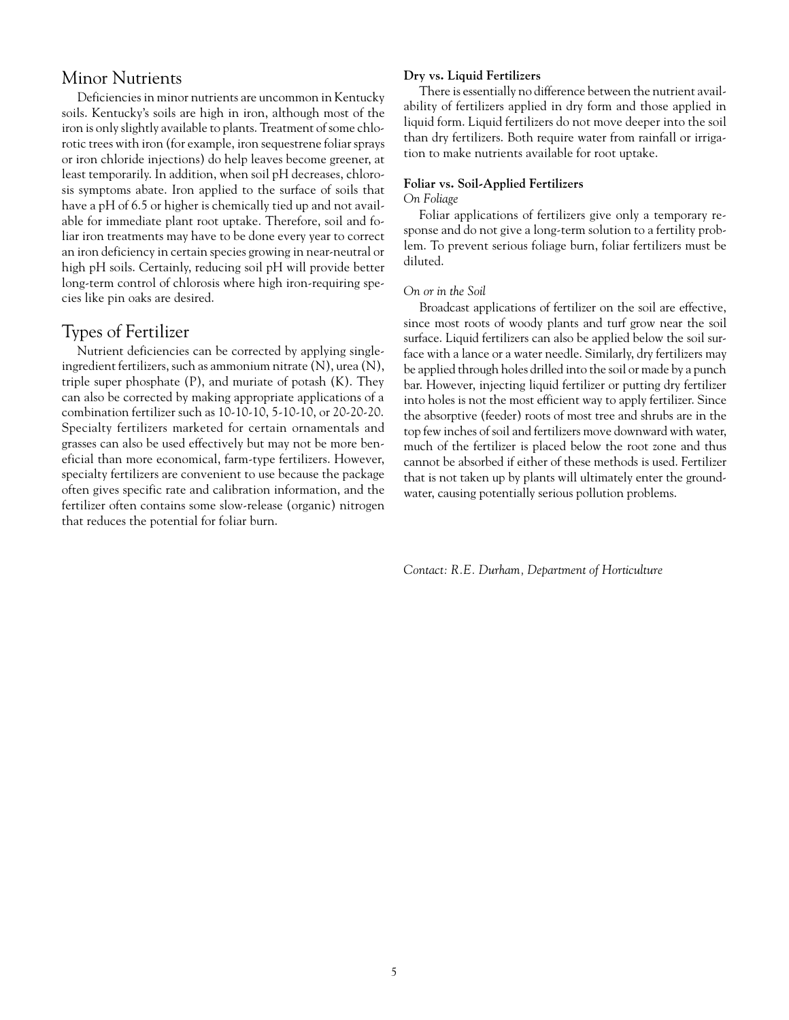## Minor Nutrients

Deficiencies in minor nutrients are uncommon in Kentucky soils. Kentucky's soils are high in iron, although most of the iron is only slightly available to plants. Treatment of some chlorotic trees with iron (for example, iron sequestrene foliar sprays or iron chloride injections) do help leaves become greener, at least temporarily. In addition, when soil pH decreases, chlorosis symptoms abate. Iron applied to the surface of soils that have a pH of 6.5 or higher is chemically tied up and not available for immediate plant root uptake. Therefore, soil and foliar iron treatments may have to be done every year to correct an iron deficiency in certain species growing in near-neutral or high pH soils. Certainly, reducing soil pH will provide better long-term control of chlorosis where high iron-requiring species like pin oaks are desired.

# Types of Fertilizer

Nutrient deficiencies can be corrected by applying singleingredient fertilizers, such as ammonium nitrate (N), urea (N), triple super phosphate (P), and muriate of potash (K). They can also be corrected by making appropriate applications of a combination fertilizer such as 10-10-10, 5-10-10, or 20-20-20. Specialty fertilizers marketed for certain ornamentals and grasses can also be used effectively but may not be more beneficial than more economical, farm-type fertilizers. However, specialty fertilizers are convenient to use because the package often gives specific rate and calibration information, and the fertilizer often contains some slow-release (organic) nitrogen that reduces the potential for foliar burn.

#### **Dry vs. Liquid Fertilizers**

There is essentially no difference between the nutrient availability of fertilizers applied in dry form and those applied in liquid form. Liquid fertilizers do not move deeper into the soil than dry fertilizers. Both require water from rainfall or irrigation to make nutrients available for root uptake.

#### **Foliar vs. Soil-Applied Fertilizers**

#### *On Foliage*

Foliar applications of fertilizers give only a temporary response and do not give a long-term solution to a fertility problem. To prevent serious foliage burn, foliar fertilizers must be diluted.

#### *On or in the Soil*

Broadcast applications of fertilizer on the soil are effective, since most roots of woody plants and turf grow near the soil surface. Liquid fertilizers can also be applied below the soil surface with a lance or a water needle. Similarly, dry fertilizers may be applied through holes drilled into the soil or made by a punch bar. However, injecting liquid fertilizer or putting dry fertilizer into holes is not the most efficient way to apply fertilizer. Since the absorptive (feeder) roots of most tree and shrubs are in the top few inches of soil and fertilizers move downward with water, much of the fertilizer is placed below the root zone and thus cannot be absorbed if either of these methods is used. Fertilizer that is not taken up by plants will ultimately enter the groundwater, causing potentially serious pollution problems.

*Contact: R.E. Durham, Department of Horticulture*